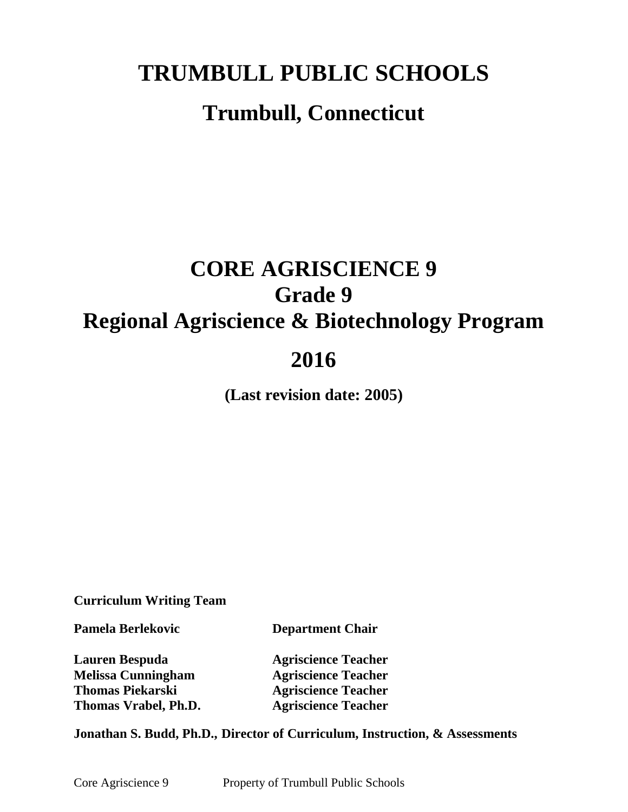## **TRUMBULL PUBLIC SCHOOLS**

## **Trumbull, Connecticut**

# **CORE AGRISCIENCE 9 Grade 9 Regional Agriscience & Biotechnology Program 2016**

**(Last revision date: 2005)**

**Curriculum Writing Team**

**Pamela Berlekovic Department Chair**

**Lauren Bespuda Agriscience Teacher Melissa Cunningham Agriscience Teacher Thomas Piekarski Agriscience Teacher**

**Thomas Vrabel, Ph.D. Agriscience Teacher**

**Jonathan S. Budd, Ph.D., Director of Curriculum, Instruction, & Assessments**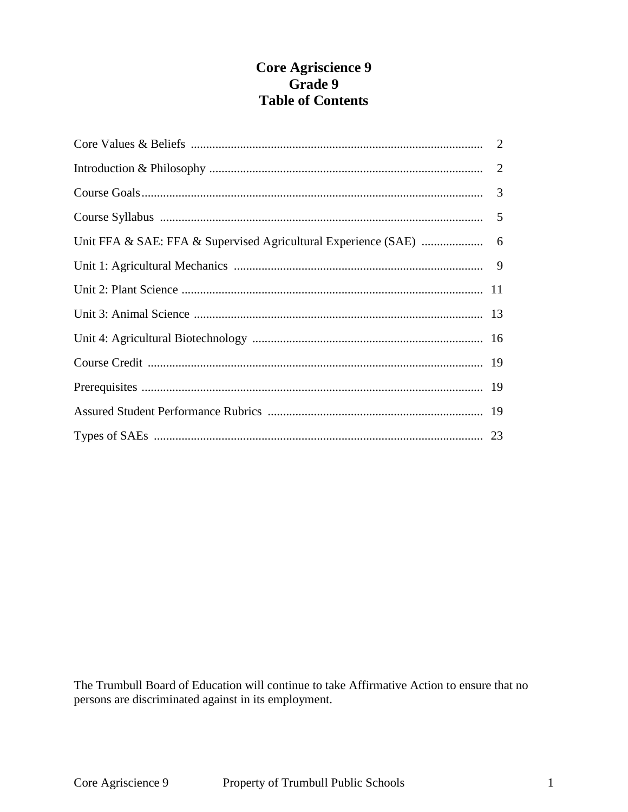## **Core Agriscience 9** Grade 9 **Table of Contents**

The Trumbull Board of Education will continue to take Affirmative Action to ensure that no persons are discriminated against in its employment.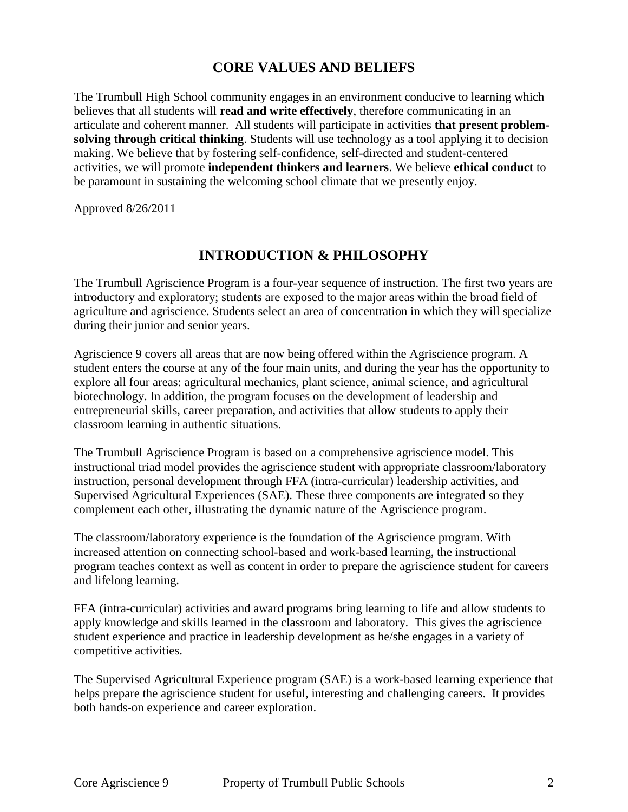## **CORE VALUES AND BELIEFS**

The Trumbull High School community engages in an environment conducive to learning which believes that all students will **read and write effectively**, therefore communicating in an articulate and coherent manner. All students will participate in activities **that present problemsolving through critical thinking**. Students will use technology as a tool applying it to decision making. We believe that by fostering self-confidence, self-directed and student-centered activities, we will promote **independent thinkers and learners**. We believe **ethical conduct** to be paramount in sustaining the welcoming school climate that we presently enjoy.

Approved 8/26/2011

## **INTRODUCTION & PHILOSOPHY**

The Trumbull Agriscience Program is a four-year sequence of instruction. The first two years are introductory and exploratory; students are exposed to the major areas within the broad field of agriculture and agriscience. Students select an area of concentration in which they will specialize during their junior and senior years.

Agriscience 9 covers all areas that are now being offered within the Agriscience program. A student enters the course at any of the four main units, and during the year has the opportunity to explore all four areas: agricultural mechanics, plant science, animal science, and agricultural biotechnology. In addition, the program focuses on the development of leadership and entrepreneurial skills, career preparation, and activities that allow students to apply their classroom learning in authentic situations.

The Trumbull Agriscience Program is based on a comprehensive agriscience model. This instructional triad model provides the agriscience student with appropriate classroom/laboratory instruction, personal development through FFA (intra-curricular) leadership activities, and Supervised Agricultural Experiences (SAE). These three components are integrated so they complement each other, illustrating the dynamic nature of the Agriscience program.

The classroom/laboratory experience is the foundation of the Agriscience program. With increased attention on connecting school-based and work-based learning, the instructional program teaches context as well as content in order to prepare the agriscience student for careers and lifelong learning.

FFA (intra-curricular) activities and award programs bring learning to life and allow students to apply knowledge and skills learned in the classroom and laboratory. This gives the agriscience student experience and practice in leadership development as he/she engages in a variety of competitive activities.

The Supervised Agricultural Experience program (SAE) is a work-based learning experience that helps prepare the agriscience student for useful, interesting and challenging careers. It provides both hands-on experience and career exploration.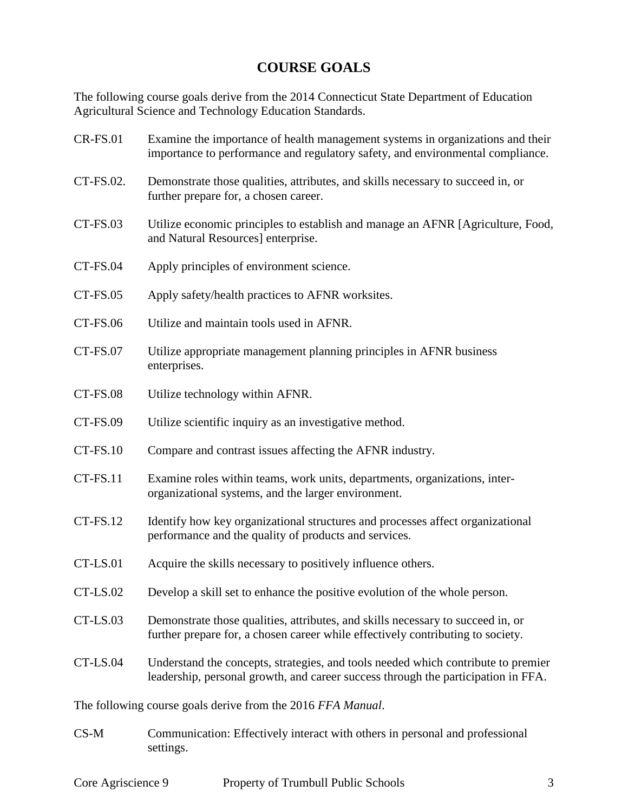## **COURSE GOALS**

The following course goals derive from the 2014 Connecticut State Department of Education Agricultural Science and Technology Education Standards.

| <b>CR-FS.01</b> | Examine the importance of health management systems in organizations and their<br>importance to performance and regulatory safety, and environmental compliance.       |  |  |
|-----------------|------------------------------------------------------------------------------------------------------------------------------------------------------------------------|--|--|
| CT-FS.02.       | Demonstrate those qualities, attributes, and skills necessary to succeed in, or<br>further prepare for, a chosen career.                                               |  |  |
| CT-FS.03        | Utilize economic principles to establish and manage an AFNR [Agriculture, Food,<br>and Natural Resources] enterprise.                                                  |  |  |
| CT-FS.04        | Apply principles of environment science.                                                                                                                               |  |  |
| <b>CT-FS.05</b> | Apply safety/health practices to AFNR worksites.                                                                                                                       |  |  |
| CT-FS.06        | Utilize and maintain tools used in AFNR.                                                                                                                               |  |  |
| CT-FS.07        | Utilize appropriate management planning principles in AFNR business<br>enterprises.                                                                                    |  |  |
| CT-FS.08        | Utilize technology within AFNR.                                                                                                                                        |  |  |
| <b>CT-FS.09</b> | Utilize scientific inquiry as an investigative method.                                                                                                                 |  |  |
| CT-FS.10        | Compare and contrast issues affecting the AFNR industry.                                                                                                               |  |  |
| CT-FS.11        | Examine roles within teams, work units, departments, organizations, inter-<br>organizational systems, and the larger environment.                                      |  |  |
| CT-FS.12        | Identify how key organizational structures and processes affect organizational<br>performance and the quality of products and services.                                |  |  |
| CT-LS.01        | Acquire the skills necessary to positively influence others.                                                                                                           |  |  |
| CT-LS.02        | Develop a skill set to enhance the positive evolution of the whole person.                                                                                             |  |  |
| CT-LS.03        | Demonstrate those qualities, attributes, and skills necessary to succeed in, or<br>further prepare for, a chosen career while effectively contributing to society.     |  |  |
| CT-LS.04        | Understand the concepts, strategies, and tools needed which contribute to premier<br>leadership, personal growth, and career success through the participation in FFA. |  |  |
|                 | The following course goals derive from the 2016 FFA Manual.                                                                                                            |  |  |
| $CS-M$          | Communication: Effectively interact with others in personal and professional<br>settings.                                                                              |  |  |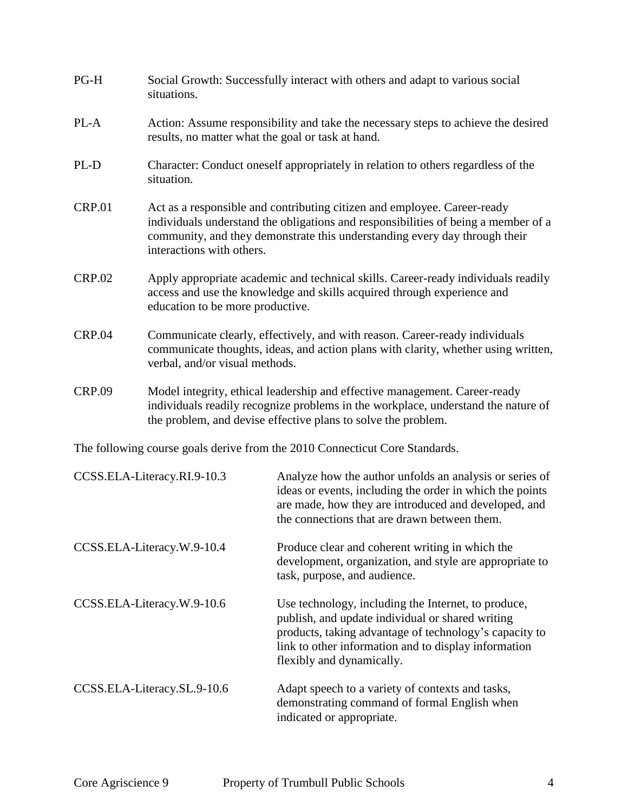| $PG-H$        | Social Growth: Successfully interact with others and adapt to various social<br>situations.                                                                                                                                                                               |
|---------------|---------------------------------------------------------------------------------------------------------------------------------------------------------------------------------------------------------------------------------------------------------------------------|
| PL-A          | Action: Assume responsibility and take the necessary steps to achieve the desired<br>results, no matter what the goal or task at hand.                                                                                                                                    |
| PL-D          | Character: Conduct oneself appropriately in relation to others regardless of the<br>situation.                                                                                                                                                                            |
| <b>CRP.01</b> | Act as a responsible and contributing citizen and employee. Career-ready<br>individuals understand the obligations and responsibilities of being a member of a<br>community, and they demonstrate this understanding every day through their<br>interactions with others. |
| <b>CRP.02</b> | Apply appropriate academic and technical skills. Career-ready individuals readily<br>access and use the knowledge and skills acquired through experience and<br>education to be more productive.                                                                          |
| <b>CRP.04</b> | Communicate clearly, effectively, and with reason. Career-ready individuals<br>communicate thoughts, ideas, and action plans with clarity, whether using written,<br>verbal, and/or visual methods.                                                                       |
| <b>CRP.09</b> | Model integrity, ethical leadership and effective management. Career-ready<br>individuals readily recognize problems in the workplace, understand the nature of<br>the problem, and devise effective plans to solve the problem.                                          |

The following course goals derive from the 2010 Connecticut Core Standards.

| CCSS.ELA-Literacy.RI.9-10.3 | Analyze how the author unfolds an analysis or series of<br>ideas or events, including the order in which the points<br>are made, how they are introduced and developed, and<br>the connections that are drawn between them.                            |
|-----------------------------|--------------------------------------------------------------------------------------------------------------------------------------------------------------------------------------------------------------------------------------------------------|
| CCSS.ELA-Literacy.W.9-10.4  | Produce clear and coherent writing in which the<br>development, organization, and style are appropriate to<br>task, purpose, and audience.                                                                                                             |
| CCSS.ELA-Literacy.W.9-10.6  | Use technology, including the Internet, to produce,<br>publish, and update individual or shared writing<br>products, taking advantage of technology's capacity to<br>link to other information and to display information<br>flexibly and dynamically. |
| CCSS.ELA-Literacy.SL.9-10.6 | Adapt speech to a variety of contexts and tasks,<br>demonstrating command of formal English when<br>indicated or appropriate.                                                                                                                          |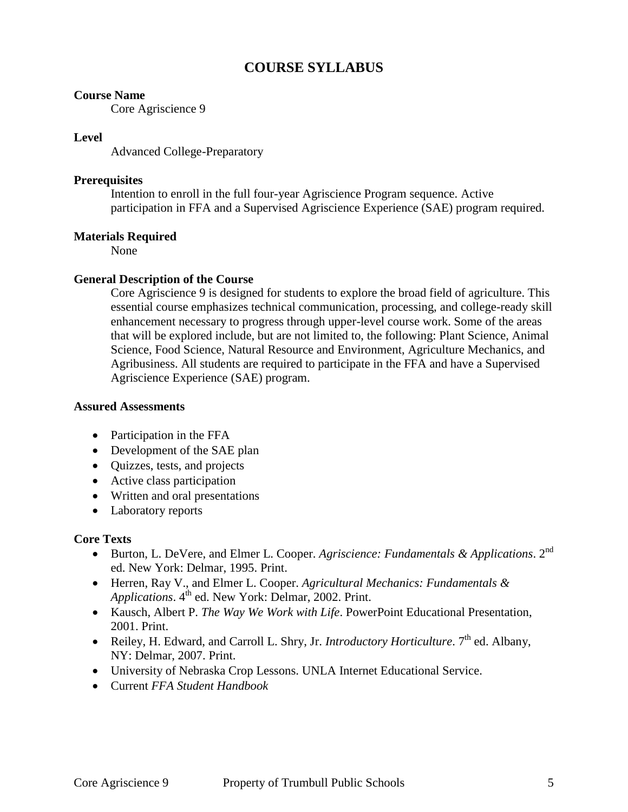## **COURSE SYLLABUS**

#### **Course Name**

Core Agriscience 9

#### **Level**

Advanced College-Preparatory

#### **Prerequisites**

Intention to enroll in the full four-year Agriscience Program sequence. Active participation in FFA and a Supervised Agriscience Experience (SAE) program required.

#### **Materials Required**

None

#### **General Description of the Course**

Core Agriscience 9 is designed for students to explore the broad field of agriculture. This essential course emphasizes technical communication, processing, and college-ready skill enhancement necessary to progress through upper-level course work. Some of the areas that will be explored include, but are not limited to, the following: Plant Science, Animal Science, Food Science, Natural Resource and Environment, Agriculture Mechanics, and Agribusiness. All students are required to participate in the FFA and have a Supervised Agriscience Experience (SAE) program.

#### **Assured Assessments**

- Participation in the FFA
- Development of the SAE plan
- Quizzes, tests, and projects
- Active class participation
- Written and oral presentations
- Laboratory reports

#### **Core Texts**

- Burton, L. DeVere, and Elmer L. Cooper. *Agriscience: Fundamentals & Applications*. 2nd ed. New York: Delmar, 1995. Print.
- Herren, Ray V., and Elmer L. Cooper. *Agricultural Mechanics: Fundamentals & Applications*. 4<sup>th</sup> ed. New York: Delmar, 2002. Print.
- Kausch, Albert P. *The Way We Work with Life*. PowerPoint Educational Presentation, 2001. Print.
- Reiley, H. Edward, and Carroll L. Shry, Jr. *Introductory Horticulture*. 7<sup>th</sup> ed. Albany. NY: Delmar, 2007. Print.
- University of Nebraska Crop Lessons. UNLA Internet Educational Service.
- Current *FFA Student Handbook*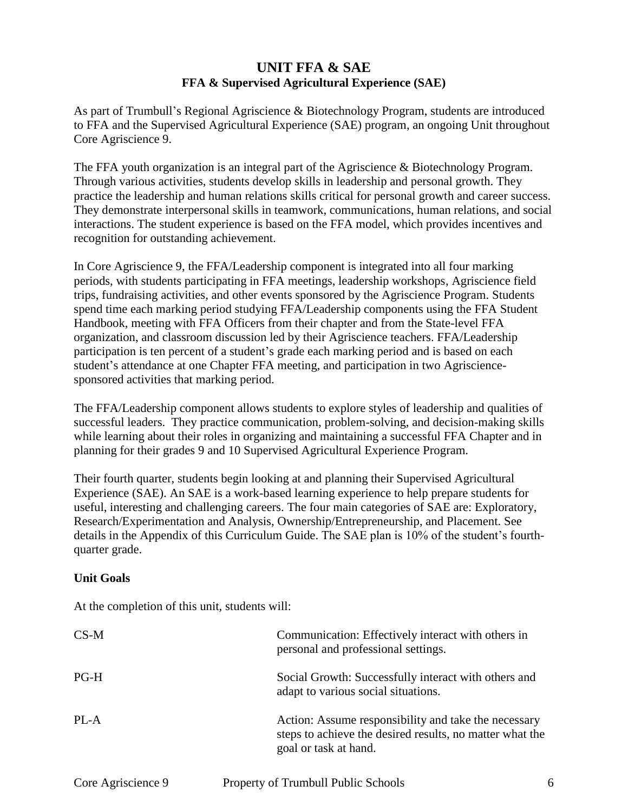## **UNIT FFA & SAE FFA & Supervised Agricultural Experience (SAE)**

As part of Trumbull's Regional Agriscience & Biotechnology Program, students are introduced to FFA and the Supervised Agricultural Experience (SAE) program, an ongoing Unit throughout Core Agriscience 9.

The FFA youth organization is an integral part of the Agriscience & Biotechnology Program. Through various activities, students develop skills in leadership and personal growth. They practice the leadership and human relations skills critical for personal growth and career success. They demonstrate interpersonal skills in teamwork, communications, human relations, and social interactions. The student experience is based on the FFA model, which provides incentives and recognition for outstanding achievement.

In Core Agriscience 9, the FFA/Leadership component is integrated into all four marking periods, with students participating in FFA meetings, leadership workshops, Agriscience field trips, fundraising activities, and other events sponsored by the Agriscience Program. Students spend time each marking period studying FFA/Leadership components using the FFA Student Handbook, meeting with FFA Officers from their chapter and from the State-level FFA organization, and classroom discussion led by their Agriscience teachers. FFA/Leadership participation is ten percent of a student's grade each marking period and is based on each student's attendance at one Chapter FFA meeting, and participation in two Agrisciencesponsored activities that marking period.

The FFA/Leadership component allows students to explore styles of leadership and qualities of successful leaders. They practice communication, problem-solving, and decision-making skills while learning about their roles in organizing and maintaining a successful FFA Chapter and in planning for their grades 9 and 10 Supervised Agricultural Experience Program.

Their fourth quarter, students begin looking at and planning their Supervised Agricultural Experience (SAE). An SAE is a work-based learning experience to help prepare students for useful, interesting and challenging careers. The four main categories of SAE are: Exploratory, Research/Experimentation and Analysis, Ownership/Entrepreneurship, and Placement. See details in the Appendix of this Curriculum Guide. The SAE plan is 10% of the student's fourthquarter grade.

#### **Unit Goals**

At the completion of this unit, students will:

| $CS-M$ | Communication: Effectively interact with others in<br>personal and professional settings.                                                 |
|--------|-------------------------------------------------------------------------------------------------------------------------------------------|
| PG-H   | Social Growth: Successfully interact with others and<br>adapt to various social situations.                                               |
| PL-A   | Action: Assume responsibility and take the necessary<br>steps to achieve the desired results, no matter what the<br>goal or task at hand. |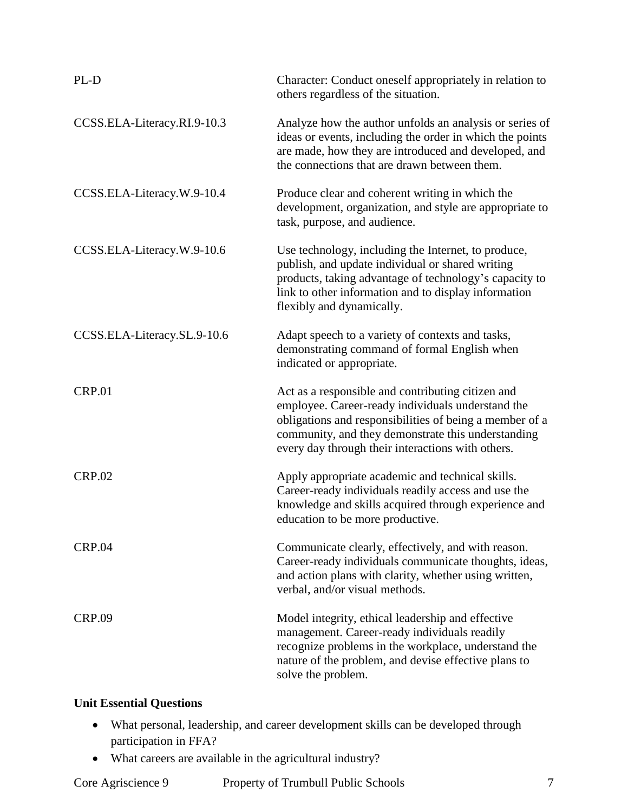| PL-D                        | Character: Conduct oneself appropriately in relation to<br>others regardless of the situation.                                                                                                                                                                               |
|-----------------------------|------------------------------------------------------------------------------------------------------------------------------------------------------------------------------------------------------------------------------------------------------------------------------|
| CCSS.ELA-Literacy.RI.9-10.3 | Analyze how the author unfolds an analysis or series of<br>ideas or events, including the order in which the points<br>are made, how they are introduced and developed, and<br>the connections that are drawn between them.                                                  |
| CCSS.ELA-Literacy.W.9-10.4  | Produce clear and coherent writing in which the<br>development, organization, and style are appropriate to<br>task, purpose, and audience.                                                                                                                                   |
| CCSS.ELA-Literacy.W.9-10.6  | Use technology, including the Internet, to produce,<br>publish, and update individual or shared writing<br>products, taking advantage of technology's capacity to<br>link to other information and to display information<br>flexibly and dynamically.                       |
| CCSS.ELA-Literacy.SL.9-10.6 | Adapt speech to a variety of contexts and tasks,<br>demonstrating command of formal English when<br>indicated or appropriate.                                                                                                                                                |
| <b>CRP.01</b>               | Act as a responsible and contributing citizen and<br>employee. Career-ready individuals understand the<br>obligations and responsibilities of being a member of a<br>community, and they demonstrate this understanding<br>every day through their interactions with others. |
| <b>CRP.02</b>               | Apply appropriate academic and technical skills.<br>Career-ready individuals readily access and use the<br>knowledge and skills acquired through experience and<br>education to be more productive.                                                                          |
| <b>CRP.04</b>               | Communicate clearly, effectively, and with reason.<br>Career-ready individuals communicate thoughts, ideas,<br>and action plans with clarity, whether using written,<br>verbal, and/or visual methods.                                                                       |
| <b>CRP.09</b>               | Model integrity, ethical leadership and effective<br>management. Career-ready individuals readily<br>recognize problems in the workplace, understand the<br>nature of the problem, and devise effective plans to<br>solve the problem.                                       |

## **Unit Essential Questions**

- What personal, leadership, and career development skills can be developed through participation in FFA?
- What careers are available in the agricultural industry?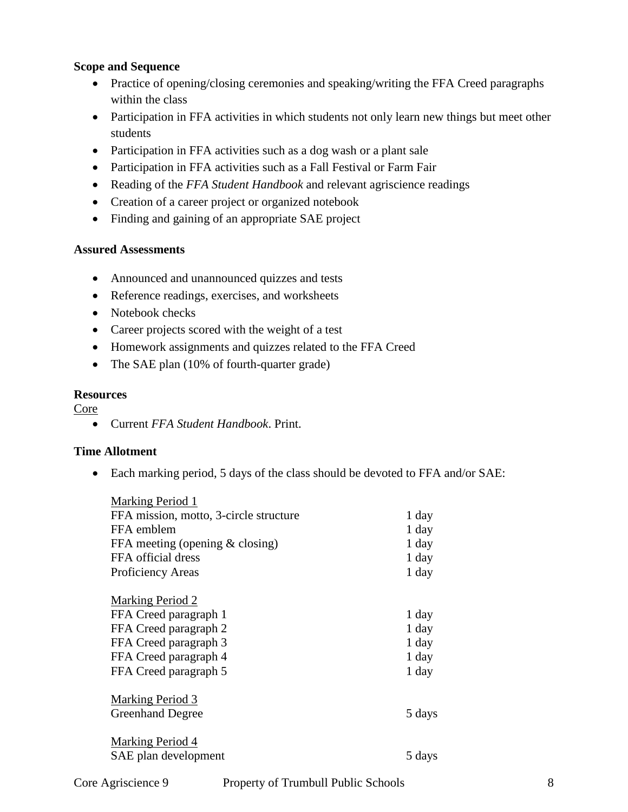#### **Scope and Sequence**

- Practice of opening/closing ceremonies and speaking/writing the FFA Creed paragraphs within the class
- Participation in FFA activities in which students not only learn new things but meet other students
- Participation in FFA activities such as a dog wash or a plant sale
- Participation in FFA activities such as a Fall Festival or Farm Fair
- Reading of the *FFA Student Handbook* and relevant agriscience readings
- Creation of a career project or organized notebook
- Finding and gaining of an appropriate SAE project

#### **Assured Assessments**

- Announced and unannounced quizzes and tests
- Reference readings, exercises, and worksheets
- Notebook checks
- Career projects scored with the weight of a test
- Homework assignments and quizzes related to the FFA Creed
- The SAE plan (10% of fourth-quarter grade)

#### **Resources**

Core

Current *FFA Student Handbook*. Print.

#### **Time Allotment**

Each marking period, 5 days of the class should be devoted to FFA and/or SAE:

| <b>Marking Period 1</b>                |         |
|----------------------------------------|---------|
| FFA mission, motto, 3-circle structure | 1 day   |
| FFA emblem                             | 1 day   |
| FFA meeting (opening $& closing$ )     | $1$ day |
| FFA official dress                     | $1$ day |
| Proficiency Areas                      | $1$ day |
|                                        |         |
| <b>Marking Period 2</b>                |         |
| FFA Creed paragraph 1                  | 1 day   |
| FFA Creed paragraph 2                  | $1$ day |
| FFA Creed paragraph 3                  | $1$ day |
| FFA Creed paragraph 4                  | 1 day   |
| FFA Creed paragraph 5                  | 1 day   |
|                                        |         |
| Marking Period 3                       |         |
| <b>Greenhand Degree</b>                | 5 days  |
|                                        |         |
| <b>Marking Period 4</b>                |         |
| SAE plan development                   | 5 days  |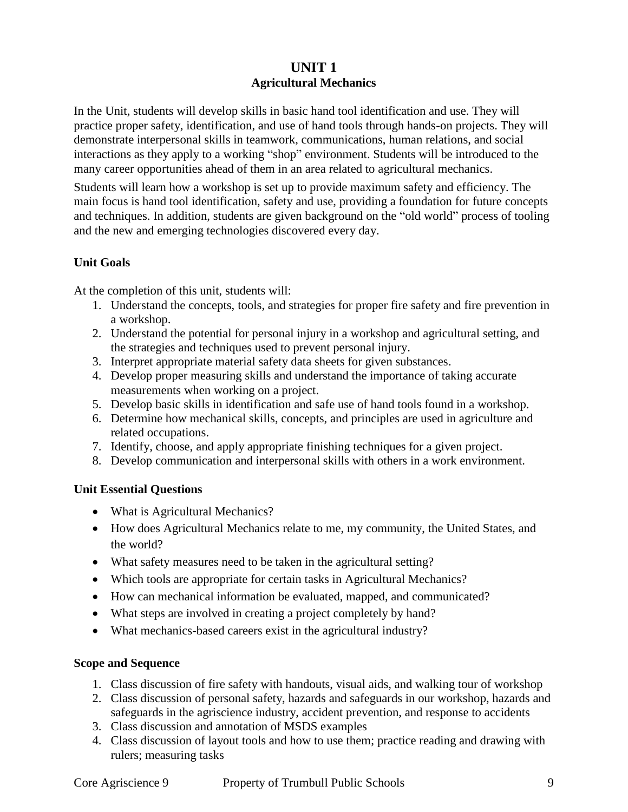## **UNIT 1 Agricultural Mechanics**

In the Unit, students will develop skills in basic hand tool identification and use. They will practice proper safety, identification, and use of hand tools through hands-on projects. They will demonstrate interpersonal skills in teamwork, communications, human relations, and social interactions as they apply to a working "shop" environment. Students will be introduced to the many career opportunities ahead of them in an area related to agricultural mechanics.

Students will learn how a workshop is set up to provide maximum safety and efficiency. The main focus is hand tool identification, safety and use, providing a foundation for future concepts and techniques. In addition, students are given background on the "old world" process of tooling and the new and emerging technologies discovered every day.

#### **Unit Goals**

At the completion of this unit, students will:

- 1. Understand the concepts, tools, and strategies for proper fire safety and fire prevention in a workshop.
- 2. Understand the potential for personal injury in a workshop and agricultural setting, and the strategies and techniques used to prevent personal injury.
- 3. Interpret appropriate material safety data sheets for given substances.
- 4. Develop proper measuring skills and understand the importance of taking accurate measurements when working on a project.
- 5. Develop basic skills in identification and safe use of hand tools found in a workshop.
- 6. Determine how mechanical skills, concepts, and principles are used in agriculture and related occupations.
- 7. Identify, choose, and apply appropriate finishing techniques for a given project.
- 8. Develop communication and interpersonal skills with others in a work environment.

#### **Unit Essential Questions**

- What is Agricultural Mechanics?
- How does Agricultural Mechanics relate to me, my community, the United States, and the world?
- What safety measures need to be taken in the agricultural setting?
- Which tools are appropriate for certain tasks in Agricultural Mechanics?
- How can mechanical information be evaluated, mapped, and communicated?
- What steps are involved in creating a project completely by hand?
- What mechanics-based careers exist in the agricultural industry?

#### **Scope and Sequence**

- 1. Class discussion of fire safety with handouts, visual aids, and walking tour of workshop
- 2. Class discussion of personal safety, hazards and safeguards in our workshop, hazards and safeguards in the agriscience industry, accident prevention, and response to accidents
- 3. Class discussion and annotation of MSDS examples
- 4. Class discussion of layout tools and how to use them; practice reading and drawing with rulers; measuring tasks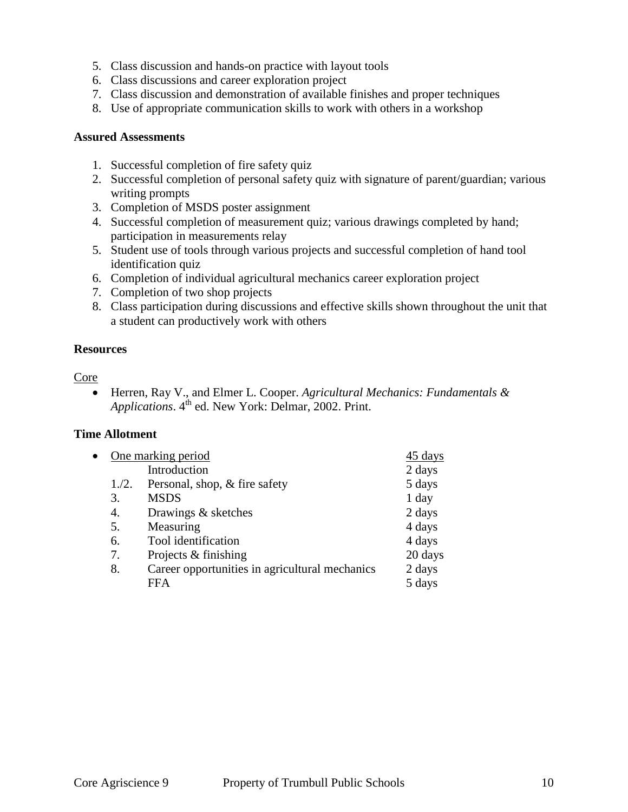- 5. Class discussion and hands-on practice with layout tools
- 6. Class discussions and career exploration project
- 7. Class discussion and demonstration of available finishes and proper techniques
- 8. Use of appropriate communication skills to work with others in a workshop

#### **Assured Assessments**

- 1. Successful completion of fire safety quiz
- 2. Successful completion of personal safety quiz with signature of parent/guardian; various writing prompts
- 3. Completion of MSDS poster assignment
- 4. Successful completion of measurement quiz; various drawings completed by hand; participation in measurements relay
- 5. Student use of tools through various projects and successful completion of hand tool identification quiz
- 6. Completion of individual agricultural mechanics career exploration project
- 7. Completion of two shop projects
- 8. Class participation during discussions and effective skills shown throughout the unit that a student can productively work with others

#### **Resources**

#### Core

 Herren, Ray V., and Elmer L. Cooper. *Agricultural Mechanics: Fundamentals & Applications*.  $4^{th}$  ed. New York: Delmar, 2002. Print.

#### **Time Allotment**

|       | 45 days                                        |                    |
|-------|------------------------------------------------|--------------------|
|       | Introduction                                   | 2 days             |
| 1./2. | Personal, shop, & fire safety                  | 5 days             |
| 3.    | <b>MSDS</b>                                    | 1 day              |
| 4.    | Drawings & sketches                            | 2 days             |
| 5.    | Measuring                                      | 4 days             |
| 6.    | Tool identification                            | 4 days             |
| 7.    | Projects & finishing                           | 20 days            |
| 8.    | Career opportunities in agricultural mechanics | 2 days             |
|       | FFA                                            | 5 days             |
|       |                                                | One marking period |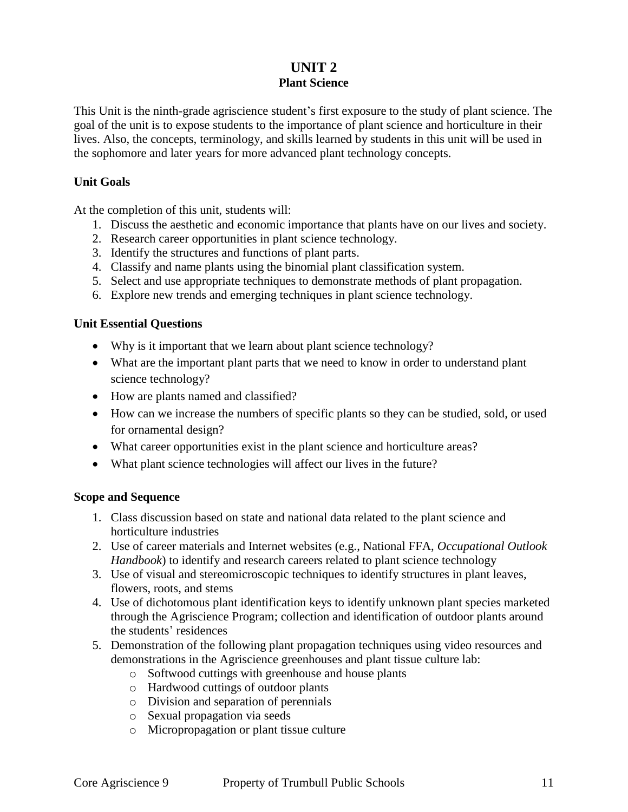## **UNIT 2 Plant Science**

This Unit is the ninth-grade agriscience student's first exposure to the study of plant science. The goal of the unit is to expose students to the importance of plant science and horticulture in their lives. Also, the concepts, terminology, and skills learned by students in this unit will be used in the sophomore and later years for more advanced plant technology concepts.

#### **Unit Goals**

At the completion of this unit, students will:

- 1. Discuss the aesthetic and economic importance that plants have on our lives and society.
- 2. Research career opportunities in plant science technology.
- 3. Identify the structures and functions of plant parts.
- 4. Classify and name plants using the binomial plant classification system.
- 5. Select and use appropriate techniques to demonstrate methods of plant propagation.
- 6. Explore new trends and emerging techniques in plant science technology.

#### **Unit Essential Questions**

- Why is it important that we learn about plant science technology?
- What are the important plant parts that we need to know in order to understand plant science technology?
- How are plants named and classified?
- How can we increase the numbers of specific plants so they can be studied, sold, or used for ornamental design?
- What career opportunities exist in the plant science and horticulture areas?
- What plant science technologies will affect our lives in the future?

#### **Scope and Sequence**

- 1. Class discussion based on state and national data related to the plant science and horticulture industries
- 2. Use of career materials and Internet websites (e.g., National FFA, *Occupational Outlook Handbook*) to identify and research careers related to plant science technology
- 3. Use of visual and stereomicroscopic techniques to identify structures in plant leaves, flowers, roots, and stems
- 4. Use of dichotomous plant identification keys to identify unknown plant species marketed through the Agriscience Program; collection and identification of outdoor plants around the students' residences
- 5. Demonstration of the following plant propagation techniques using video resources and demonstrations in the Agriscience greenhouses and plant tissue culture lab:
	- o Softwood cuttings with greenhouse and house plants
	- o Hardwood cuttings of outdoor plants
	- o Division and separation of perennials
	- o Sexual propagation via seeds
	- o Micropropagation or plant tissue culture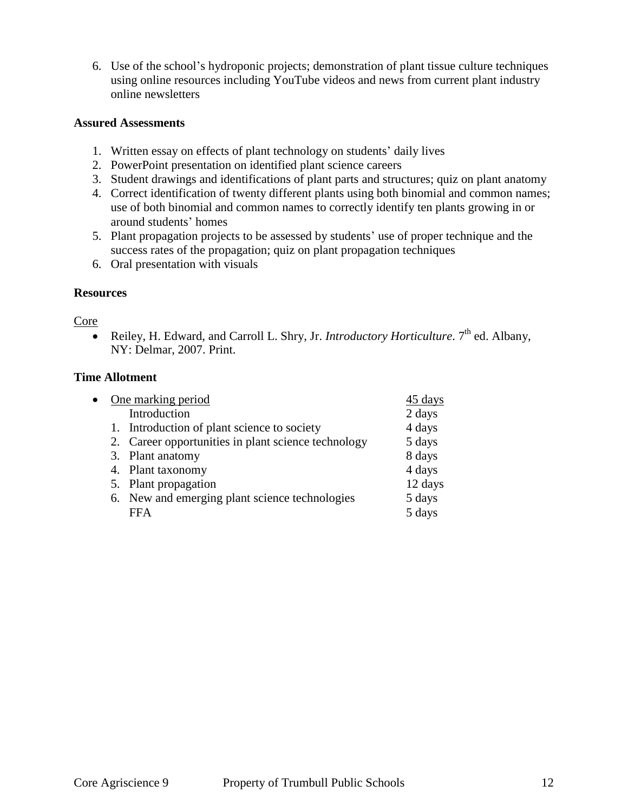6. Use of the school's hydroponic projects; demonstration of plant tissue culture techniques using online resources including YouTube videos and news from current plant industry online newsletters

#### **Assured Assessments**

- 1. Written essay on effects of plant technology on students' daily lives
- 2. PowerPoint presentation on identified plant science careers
- 3. Student drawings and identifications of plant parts and structures; quiz on plant anatomy
- 4. Correct identification of twenty different plants using both binomial and common names; use of both binomial and common names to correctly identify ten plants growing in or around students' homes
- 5. Plant propagation projects to be assessed by students' use of proper technique and the success rates of the propagation; quiz on plant propagation techniques
- 6. Oral presentation with visuals

#### **Resources**

#### Core

• Reiley, H. Edward, and Carroll L. Shry, Jr. *Introductory Horticulture*. 7<sup>th</sup> ed. Albany, NY: Delmar, 2007. Print.

#### **Time Allotment**

| $\bullet$ |  | One marking period                                  | 45 days |
|-----------|--|-----------------------------------------------------|---------|
|           |  | Introduction                                        | 2 days  |
|           |  | 1. Introduction of plant science to society         | 4 days  |
|           |  | 2. Career opportunities in plant science technology | 5 days  |
|           |  | 3. Plant anatomy                                    | 8 days  |
|           |  | 4. Plant taxonomy                                   | 4 days  |
|           |  | 5. Plant propagation                                | 12 days |
|           |  | 6. New and emerging plant science technologies      | 5 days  |
|           |  | <b>FFA</b>                                          | 5 days  |
|           |  |                                                     |         |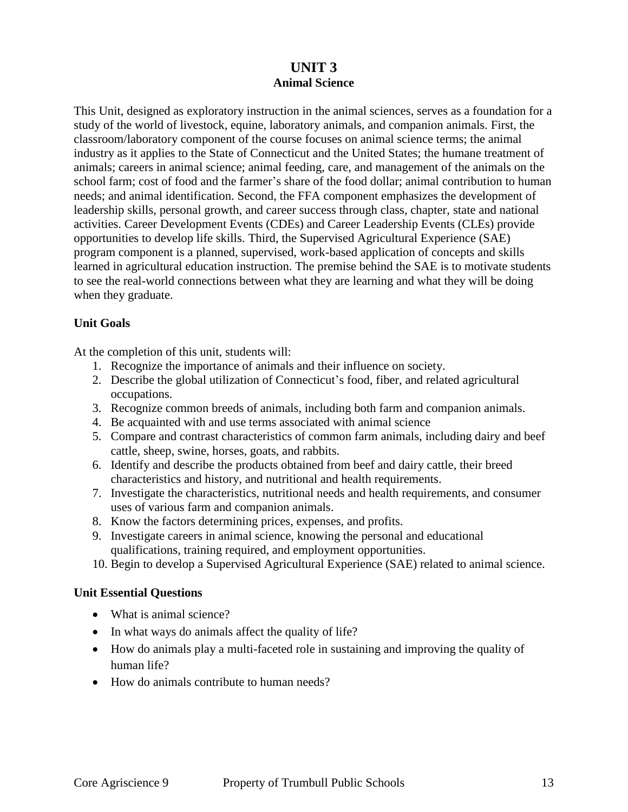## **UNIT 3 Animal Science**

This Unit, designed as exploratory instruction in the animal sciences, serves as a foundation for a study of the world of livestock, equine, laboratory animals, and companion animals. First, the classroom/laboratory component of the course focuses on animal science terms; the animal industry as it applies to the State of Connecticut and the United States; the humane treatment of animals; careers in animal science; animal feeding, care, and management of the animals on the school farm; cost of food and the farmer's share of the food dollar; animal contribution to human needs; and animal identification. Second, the FFA component emphasizes the development of leadership skills, personal growth, and career success through class, chapter, state and national activities. Career Development Events (CDEs) and Career Leadership Events (CLEs) provide opportunities to develop life skills. Third, the Supervised Agricultural Experience (SAE) program component is a planned, supervised, work-based application of concepts and skills learned in agricultural education instruction. The premise behind the SAE is to motivate students to see the real-world connections between what they are learning and what they will be doing when they graduate.

#### **Unit Goals**

At the completion of this unit, students will:

- 1. Recognize the importance of animals and their influence on society.
- 2. Describe the global utilization of Connecticut's food, fiber, and related agricultural occupations.
- 3. Recognize common breeds of animals, including both farm and companion animals.
- 4. Be acquainted with and use terms associated with animal science
- 5. Compare and contrast characteristics of common farm animals, including dairy and beef cattle, sheep, swine, horses, goats, and rabbits.
- 6. Identify and describe the products obtained from beef and dairy cattle, their breed characteristics and history, and nutritional and health requirements.
- 7. Investigate the characteristics, nutritional needs and health requirements, and consumer uses of various farm and companion animals.
- 8. Know the factors determining prices, expenses, and profits.
- 9. Investigate careers in animal science, knowing the personal and educational qualifications, training required, and employment opportunities.
- 10. Begin to develop a Supervised Agricultural Experience (SAE) related to animal science.

#### **Unit Essential Questions**

- What is animal science?
- In what ways do animals affect the quality of life?
- How do animals play a multi-faceted role in sustaining and improving the quality of human life?
- How do animals contribute to human needs?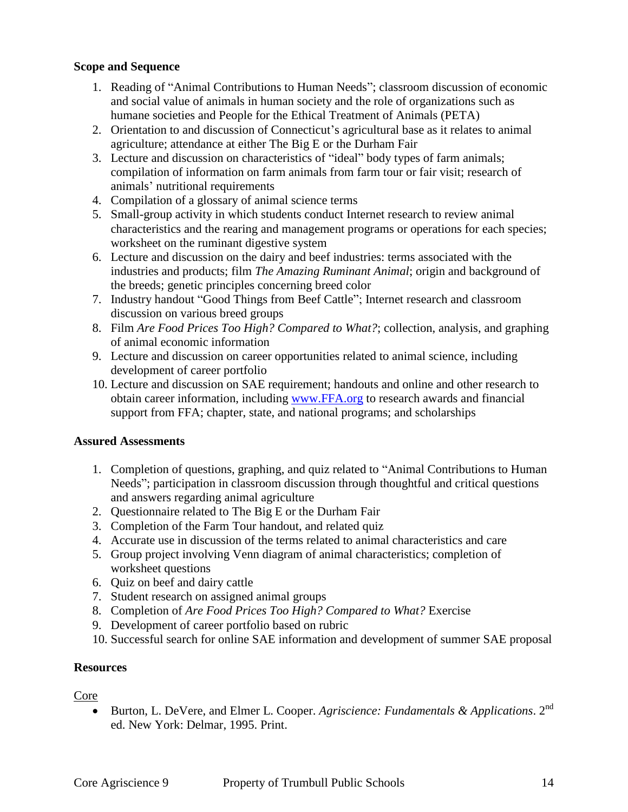#### **Scope and Sequence**

- 1. Reading of "Animal Contributions to Human Needs"; classroom discussion of economic and social value of animals in human society and the role of organizations such as humane societies and People for the Ethical Treatment of Animals (PETA)
- 2. Orientation to and discussion of Connecticut's agricultural base as it relates to animal agriculture; attendance at either The Big E or the Durham Fair
- 3. Lecture and discussion on characteristics of "ideal" body types of farm animals; compilation of information on farm animals from farm tour or fair visit; research of animals' nutritional requirements
- 4. Compilation of a glossary of animal science terms
- 5. Small-group activity in which students conduct Internet research to review animal characteristics and the rearing and management programs or operations for each species; worksheet on the ruminant digestive system
- 6. Lecture and discussion on the dairy and beef industries: terms associated with the industries and products; film *The Amazing Ruminant Animal*; origin and background of the breeds; genetic principles concerning breed color
- 7. Industry handout "Good Things from Beef Cattle"; Internet research and classroom discussion on various breed groups
- 8. Film *Are Food Prices Too High? Compared to What?*; collection, analysis, and graphing of animal economic information
- 9. Lecture and discussion on career opportunities related to animal science, including development of career portfolio
- 10. Lecture and discussion on SAE requirement; handouts and online and other research to obtain career information, including [www.FFA.org](http://www.ffa.org/) to research awards and financial support from FFA; chapter, state, and national programs; and scholarships

#### **Assured Assessments**

- 1. Completion of questions, graphing, and quiz related to "Animal Contributions to Human Needs"; participation in classroom discussion through thoughtful and critical questions and answers regarding animal agriculture
- 2. Questionnaire related to The Big E or the Durham Fair
- 3. Completion of the Farm Tour handout, and related quiz
- 4. Accurate use in discussion of the terms related to animal characteristics and care
- 5. Group project involving Venn diagram of animal characteristics; completion of worksheet questions
- 6. Quiz on beef and dairy cattle
- 7. Student research on assigned animal groups
- 8. Completion of *Are Food Prices Too High? Compared to What?* Exercise
- 9. Development of career portfolio based on rubric
- 10. Successful search for online SAE information and development of summer SAE proposal

#### **Resources**

#### Core

 Burton, L. DeVere, and Elmer L. Cooper. *Agriscience: Fundamentals & Applications*. 2nd ed. New York: Delmar, 1995. Print.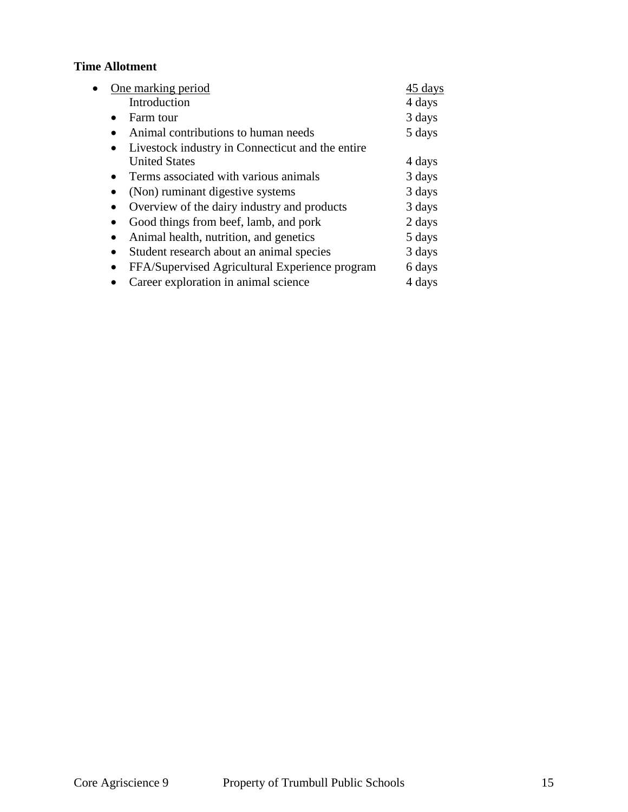### **Time Allotment**

| One marking period                                            | 45 days |
|---------------------------------------------------------------|---------|
| Introduction                                                  | 4 days  |
| Farm tour                                                     | 3 days  |
| Animal contributions to human needs                           | 5 days  |
| Livestock industry in Connecticut and the entire<br>$\bullet$ |         |
| <b>United States</b>                                          | 4 days  |
| Terms associated with various animals<br>$\bullet$            | 3 days  |
| (Non) ruminant digestive systems                              | 3 days  |
| Overview of the dairy industry and products<br>$\bullet$      | 3 days  |
| Good things from beef, lamb, and pork<br>٠                    | 2 days  |
| Animal health, nutrition, and genetics<br>$\bullet$           | 5 days  |
| Student research about an animal species<br>$\bullet$         | 3 days  |
| FFA/Supervised Agricultural Experience program<br>$\bullet$   | 6 days  |
| Career exploration in animal science                          | 4 days  |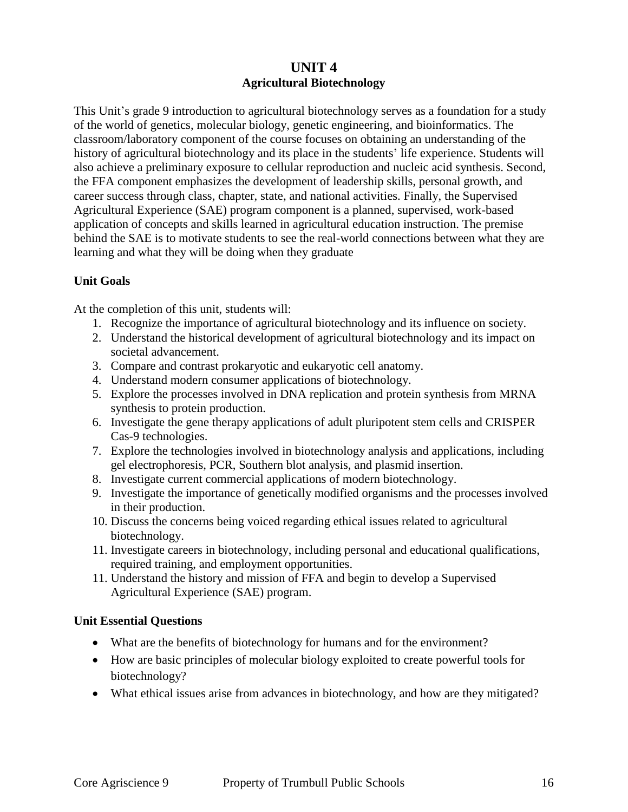## **UNIT 4 Agricultural Biotechnology**

This Unit's grade 9 introduction to agricultural biotechnology serves as a foundation for a study of the world of genetics, molecular biology, genetic engineering, and bioinformatics. The classroom/laboratory component of the course focuses on obtaining an understanding of the history of agricultural biotechnology and its place in the students' life experience. Students will also achieve a preliminary exposure to cellular reproduction and nucleic acid synthesis. Second, the FFA component emphasizes the development of leadership skills, personal growth, and career success through class, chapter, state, and national activities. Finally, the Supervised Agricultural Experience (SAE) program component is a planned, supervised, work-based application of concepts and skills learned in agricultural education instruction. The premise behind the SAE is to motivate students to see the real-world connections between what they are learning and what they will be doing when they graduate

#### **Unit Goals**

At the completion of this unit, students will:

- 1. Recognize the importance of agricultural biotechnology and its influence on society.
- 2. Understand the historical development of agricultural biotechnology and its impact on societal advancement.
- 3. Compare and contrast prokaryotic and eukaryotic cell anatomy.
- 4. Understand modern consumer applications of biotechnology.
- 5. Explore the processes involved in DNA replication and protein synthesis from MRNA synthesis to protein production.
- 6. Investigate the gene therapy applications of adult pluripotent stem cells and CRISPER Cas-9 technologies.
- 7. Explore the technologies involved in biotechnology analysis and applications, including gel electrophoresis, PCR, Southern blot analysis, and plasmid insertion.
- 8. Investigate current commercial applications of modern biotechnology.
- 9. Investigate the importance of genetically modified organisms and the processes involved in their production.
- 10. Discuss the concerns being voiced regarding ethical issues related to agricultural biotechnology.
- 11. Investigate careers in biotechnology, including personal and educational qualifications, required training, and employment opportunities.
- 11. Understand the history and mission of FFA and begin to develop a Supervised Agricultural Experience (SAE) program.

#### **Unit Essential Questions**

- What are the benefits of biotechnology for humans and for the environment?
- How are basic principles of molecular biology exploited to create powerful tools for biotechnology?
- What ethical issues arise from advances in biotechnology, and how are they mitigated?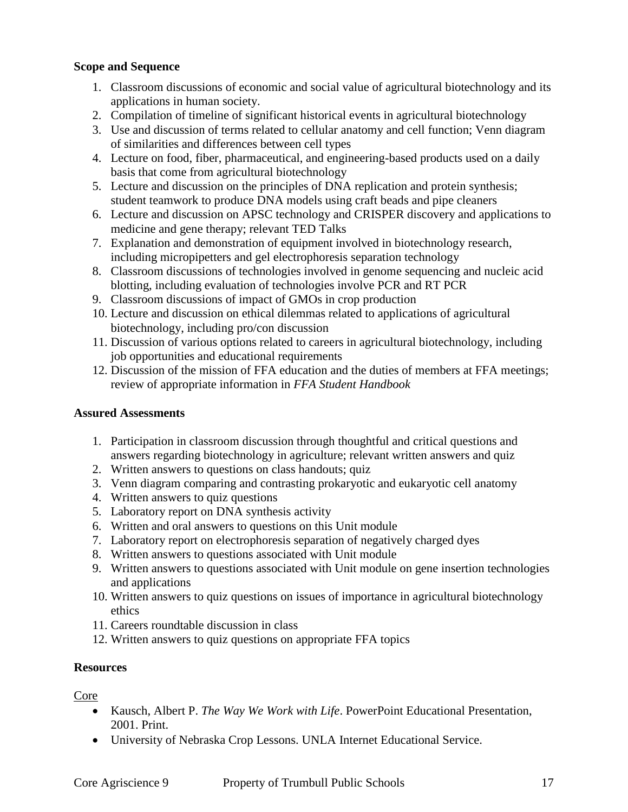#### **Scope and Sequence**

- 1. Classroom discussions of economic and social value of agricultural biotechnology and its applications in human society.
- 2. Compilation of timeline of significant historical events in agricultural biotechnology
- 3. Use and discussion of terms related to cellular anatomy and cell function; Venn diagram of similarities and differences between cell types
- 4. Lecture on food, fiber, pharmaceutical, and engineering-based products used on a daily basis that come from agricultural biotechnology
- 5. Lecture and discussion on the principles of DNA replication and protein synthesis; student teamwork to produce DNA models using craft beads and pipe cleaners
- 6. Lecture and discussion on APSC technology and CRISPER discovery and applications to medicine and gene therapy; relevant TED Talks
- 7. Explanation and demonstration of equipment involved in biotechnology research, including micropipetters and gel electrophoresis separation technology
- 8. Classroom discussions of technologies involved in genome sequencing and nucleic acid blotting, including evaluation of technologies involve PCR and RT PCR
- 9. Classroom discussions of impact of GMOs in crop production
- 10. Lecture and discussion on ethical dilemmas related to applications of agricultural biotechnology, including pro/con discussion
- 11. Discussion of various options related to careers in agricultural biotechnology, including job opportunities and educational requirements
- 12. Discussion of the mission of FFA education and the duties of members at FFA meetings; review of appropriate information in *FFA Student Handbook*

#### **Assured Assessments**

- 1. Participation in classroom discussion through thoughtful and critical questions and answers regarding biotechnology in agriculture; relevant written answers and quiz
- 2. Written answers to questions on class handouts; quiz
- 3. Venn diagram comparing and contrasting prokaryotic and eukaryotic cell anatomy
- 4. Written answers to quiz questions
- 5. Laboratory report on DNA synthesis activity
- 6. Written and oral answers to questions on this Unit module
- 7. Laboratory report on electrophoresis separation of negatively charged dyes
- 8. Written answers to questions associated with Unit module
- 9. Written answers to questions associated with Unit module on gene insertion technologies and applications
- 10. Written answers to quiz questions on issues of importance in agricultural biotechnology ethics
- 11. Careers roundtable discussion in class
- 12. Written answers to quiz questions on appropriate FFA topics

#### **Resources**

#### Core

- Kausch, Albert P. *The Way We Work with Life*. PowerPoint Educational Presentation, 2001. Print.
- University of Nebraska Crop Lessons. UNLA Internet Educational Service.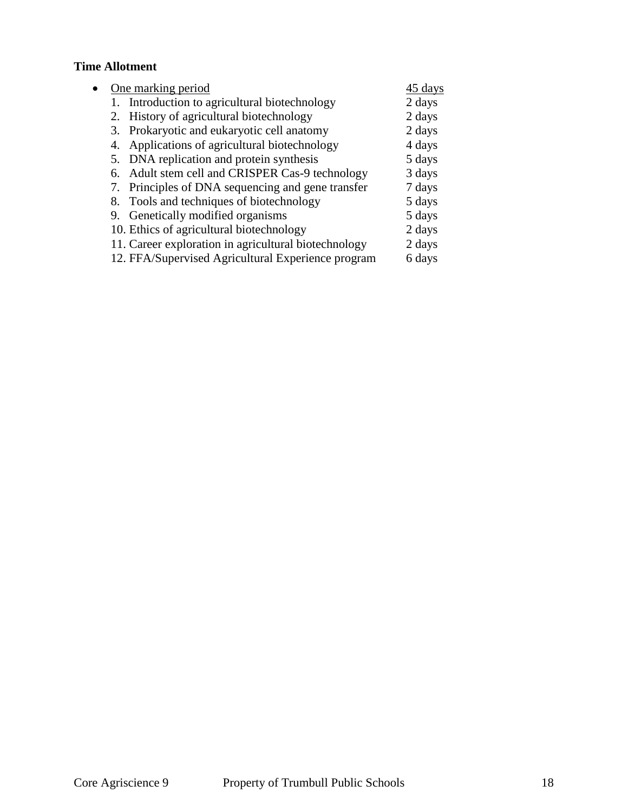### **Time Allotment**

|  | One marking period                                   | 45 days |
|--|------------------------------------------------------|---------|
|  | 1. Introduction to agricultural biotechnology        | 2 days  |
|  | 2. History of agricultural biotechnology             | 2 days  |
|  | 3. Prokaryotic and eukaryotic cell anatomy           | 2 days  |
|  | 4. Applications of agricultural biotechnology        | 4 days  |
|  | 5. DNA replication and protein synthesis             | 5 days  |
|  | 6. Adult stem cell and CRISPER Cas-9 technology      | 3 days  |
|  | 7. Principles of DNA sequencing and gene transfer    | 7 days  |
|  | 8. Tools and techniques of biotechnology             | 5 days  |
|  | 9. Genetically modified organisms                    | 5 days  |
|  | 10. Ethics of agricultural biotechnology             | 2 days  |
|  | 11. Career exploration in agricultural biotechnology | 2 days  |
|  | 12. FFA/Supervised Agricultural Experience program   | 6 days  |
|  |                                                      |         |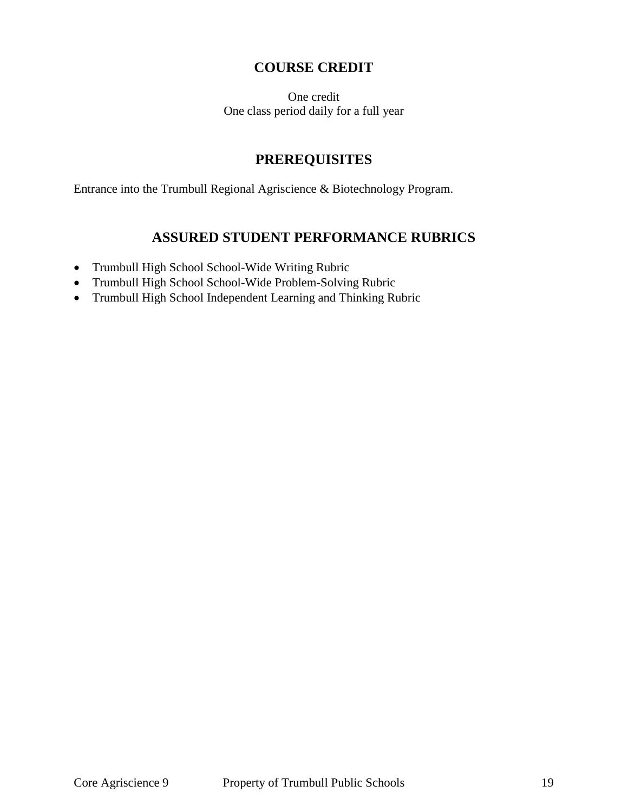## **COURSE CREDIT**

One credit One class period daily for a full year

## **PREREQUISITES**

Entrance into the Trumbull Regional Agriscience & Biotechnology Program.

## **ASSURED STUDENT PERFORMANCE RUBRICS**

- Trumbull High School School-Wide Writing Rubric
- Trumbull High School School-Wide Problem-Solving Rubric
- Trumbull High School Independent Learning and Thinking Rubric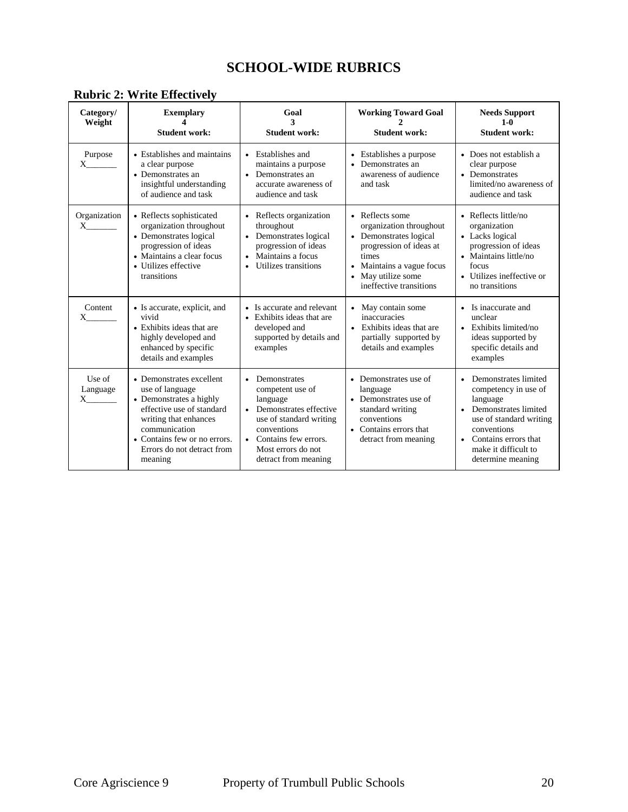## **SCHOOL-WIDE RUBRICS**

| Category/<br>Weight            | <b>Exemplary</b><br><b>Student work:</b>                                                                                                                                                                               | Goal<br>3<br><b>Student work:</b>                                                                                                                                                                   | <b>Working Toward Goal</b><br><b>Student work:</b>                                                                                                                                   | <b>Needs Support</b><br>$1 - 0$<br><b>Student work:</b>                                                                                                                                             |
|--------------------------------|------------------------------------------------------------------------------------------------------------------------------------------------------------------------------------------------------------------------|-----------------------------------------------------------------------------------------------------------------------------------------------------------------------------------------------------|--------------------------------------------------------------------------------------------------------------------------------------------------------------------------------------|-----------------------------------------------------------------------------------------------------------------------------------------------------------------------------------------------------|
| Purpose<br>X                   | • Establishes and maintains<br>a clear purpose<br>• Demonstrates an<br>insightful understanding<br>of audience and task                                                                                                | • Establishes and<br>maintains a purpose<br>Demonstrates an<br>$\bullet$<br>accurate awareness of<br>audience and task                                                                              | Establishes a purpose<br>$\bullet$<br>Demonstrates an<br>awareness of audience<br>and task                                                                                           | • Does not establish a<br>clear purpose<br>• Demonstrates<br>limited/no awareness of<br>audience and task                                                                                           |
| Organization<br>X              | • Reflects sophisticated<br>organization throughout<br>• Demonstrates logical<br>progression of ideas<br>• Maintains a clear focus<br>• Utilizes effective<br>transitions                                              | • Reflects organization<br>throughout<br>• Demonstrates logical<br>progression of ideas<br>Maintains a focus<br>Utilizes transitions                                                                | • Reflects some<br>organization throughout<br>• Demonstrates logical<br>progression of ideas at<br>times<br>• Maintains a vague focus<br>May utilize some<br>ineffective transitions | • Reflects little/no<br>organization<br>• Lacks logical<br>progression of ideas<br>• Maintains little/no<br>focus<br>• Utilizes ineffective or<br>no transitions                                    |
| Content<br>X.                  | • Is accurate, explicit, and<br>vivid<br>• Exhibits ideas that are<br>highly developed and<br>enhanced by specific<br>details and examples                                                                             | • Is accurate and relevant<br>• Exhibits ideas that are<br>developed and<br>supported by details and<br>examples                                                                                    | • May contain some<br>inaccuracies<br>• Exhibits ideas that are<br>partially supported by<br>details and examples                                                                    | • Is inaccurate and<br>unclear<br>$\bullet$ Exhibits limited/no<br>ideas supported by<br>specific details and<br>examples                                                                           |
| Use of<br>Language<br>$X \sim$ | • Demonstrates excellent<br>use of language<br>• Demonstrates a highly<br>effective use of standard<br>writing that enhances<br>communication<br>• Contains few or no errors.<br>Errors do not detract from<br>meaning | Demonstrates<br>competent use of<br>language<br>Demonstrates effective<br>use of standard writing<br>conventions<br>Contains few errors.<br>$\bullet$<br>Most errors do not<br>detract from meaning | • Demonstrates use of<br>language<br>• Demonstrates use of<br>standard writing<br>conventions<br>• Contains errors that<br>detract from meaning                                      | Demonstrates limited<br>competency in use of<br>language<br>• Demonstrates limited<br>use of standard writing<br>conventions<br>• Contains errors that<br>make it difficult to<br>determine meaning |

## **Rubric 2: Write Effectively**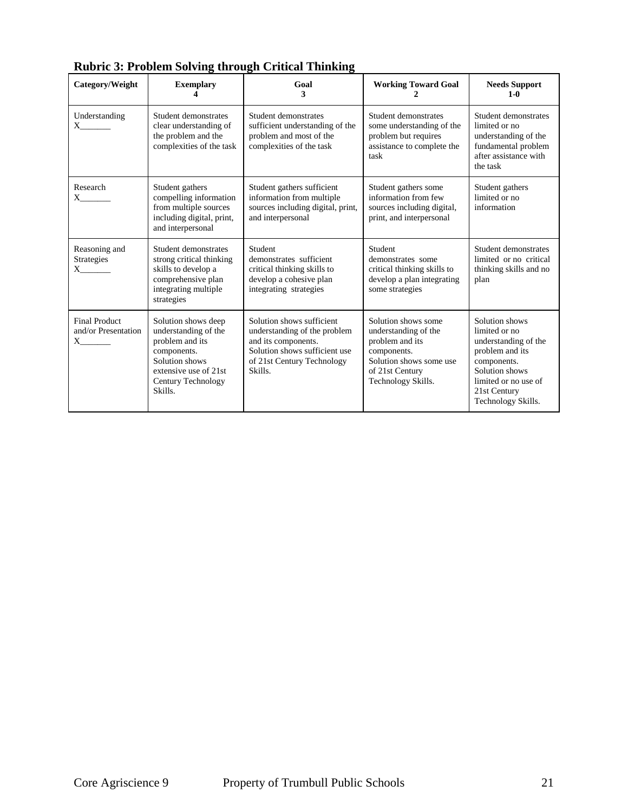| Category/Weight                                         | <b>Exemplary</b>                                                                                                                                          | Goal<br>3                                                                                                                                                  | <b>Working Toward Goal</b>                                                                                                                        | <b>Needs Support</b><br>$1-0$                                                                                                                                             |
|---------------------------------------------------------|-----------------------------------------------------------------------------------------------------------------------------------------------------------|------------------------------------------------------------------------------------------------------------------------------------------------------------|---------------------------------------------------------------------------------------------------------------------------------------------------|---------------------------------------------------------------------------------------------------------------------------------------------------------------------------|
| Understanding<br>$X \sim$                               | Student demonstrates<br>clear understanding of<br>the problem and the<br>complexities of the task                                                         | Student demonstrates<br>sufficient understanding of the<br>problem and most of the<br>complexities of the task                                             | Student demonstrates<br>some understanding of the<br>problem but requires<br>assistance to complete the<br>task                                   | Student demonstrates<br>limited or no<br>understanding of the<br>fundamental problem<br>after assistance with<br>the task                                                 |
| Research<br>$X \sim$                                    | Student gathers<br>compelling information<br>from multiple sources<br>including digital, print,<br>and interpersonal                                      | Student gathers sufficient<br>information from multiple<br>sources including digital, print,<br>and interpersonal                                          | Student gathers some<br>information from few<br>sources including digital,<br>print, and interpersonal                                            | Student gathers<br>limited or no<br>information                                                                                                                           |
| Reasoning and<br>Strategies<br>$X \sim$                 | Student demonstrates<br>strong critical thinking<br>skills to develop a<br>comprehensive plan<br>integrating multiple<br>strategies                       | Student<br>demonstrates sufficient<br>critical thinking skills to<br>develop a cohesive plan<br>integrating strategies                                     | Student<br>demonstrates some<br>critical thinking skills to<br>develop a plan integrating<br>some strategies                                      | Student demonstrates<br>limited or no critical<br>thinking skills and no<br>plan                                                                                          |
| <b>Final Product</b><br>and/or Presentation<br>$X \sim$ | Solution shows deep<br>understanding of the<br>problem and its<br>components.<br>Solution shows<br>extensive use of 21st<br>Century Technology<br>Skills. | Solution shows sufficient<br>understanding of the problem<br>and its components.<br>Solution shows sufficient use<br>of 21st Century Technology<br>Skills. | Solution shows some<br>understanding of the<br>problem and its<br>components.<br>Solution shows some use<br>of 21st Century<br>Technology Skills. | Solution shows<br>limited or no<br>understanding of the<br>problem and its<br>components.<br>Solution shows<br>limited or no use of<br>21st Century<br>Technology Skills. |

| <b>Rubric 3: Problem Solving through Critical Thinking</b> |  |
|------------------------------------------------------------|--|
|------------------------------------------------------------|--|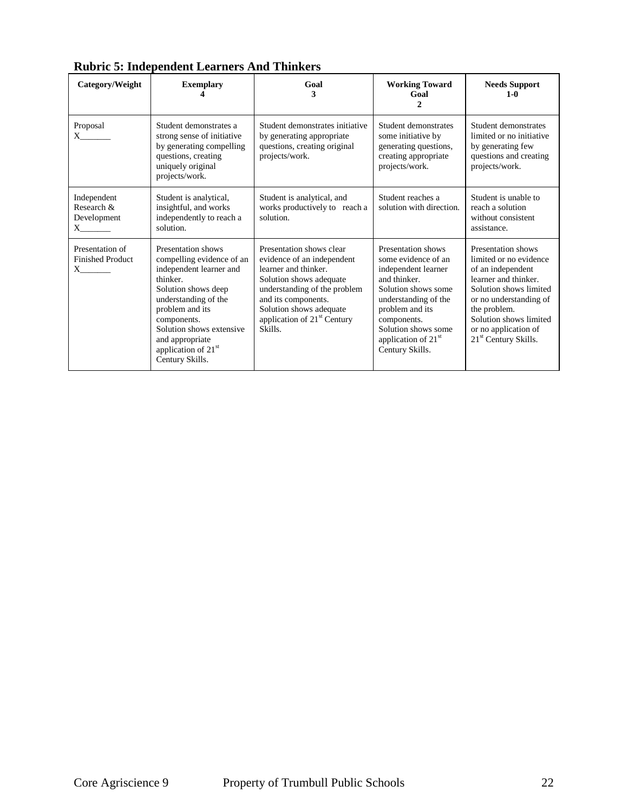| Category/Weight                                                      | <b>Exemplary</b>                                                                                                                                                                                                                                                             | Goal<br>3                                                                                                                                                                                                                                         | <b>Working Toward</b><br>Goal                                                                                                                                                                                                                  | <b>Needs Support</b><br>$1-0$                                                                                                                                                                                                                       |
|----------------------------------------------------------------------|------------------------------------------------------------------------------------------------------------------------------------------------------------------------------------------------------------------------------------------------------------------------------|---------------------------------------------------------------------------------------------------------------------------------------------------------------------------------------------------------------------------------------------------|------------------------------------------------------------------------------------------------------------------------------------------------------------------------------------------------------------------------------------------------|-----------------------------------------------------------------------------------------------------------------------------------------------------------------------------------------------------------------------------------------------------|
| Proposal<br>$X \sim$                                                 | Student demonstrates a<br>strong sense of initiative<br>by generating compelling<br>questions, creating<br>uniquely original<br>projects/work.                                                                                                                               | Student demonstrates initiative<br>by generating appropriate<br>questions, creating original<br>projects/work.                                                                                                                                    | Student demonstrates<br>some initiative by<br>generating questions,<br>creating appropriate<br>projects/work.                                                                                                                                  | Student demonstrates<br>limited or no initiative<br>by generating few<br>questions and creating<br>projects/work.                                                                                                                                   |
| Independent<br>Research &<br>Development<br>$X$ <sub>_________</sub> | Student is analytical,<br>insightful, and works<br>independently to reach a<br>solution.                                                                                                                                                                                     | Student is analytical, and<br>works productively to reach a<br>solution.                                                                                                                                                                          | Student reaches a<br>solution with direction.                                                                                                                                                                                                  | Student is unable to<br>reach a solution<br>without consistent<br>assistance.                                                                                                                                                                       |
| Presentation of<br><b>Finished Product</b><br>$X \qquad \qquad$      | Presentation shows<br>compelling evidence of an<br>independent learner and<br>thinker.<br>Solution shows deep<br>understanding of the<br>problem and its<br>components.<br>Solution shows extensive<br>and appropriate<br>application of 21 <sup>st</sup><br>Century Skills. | Presentation shows clear<br>evidence of an independent<br>learner and thinker.<br>Solution shows adequate<br>understanding of the problem<br>and its components.<br>Solution shows adequate<br>application of 21 <sup>st</sup> Century<br>Skills. | Presentation shows<br>some evidence of an<br>independent learner<br>and thinker.<br>Solution shows some<br>understanding of the<br>problem and its<br>components.<br>Solution shows some<br>application of 21 <sup>st</sup><br>Century Skills. | Presentation shows<br>limited or no evidence<br>of an independent<br>learner and thinker.<br>Solution shows limited<br>or no understanding of<br>the problem.<br>Solution shows limited<br>or no application of<br>21 <sup>st</sup> Century Skills. |

**Rubric 5: Independent Learners And Thinkers**